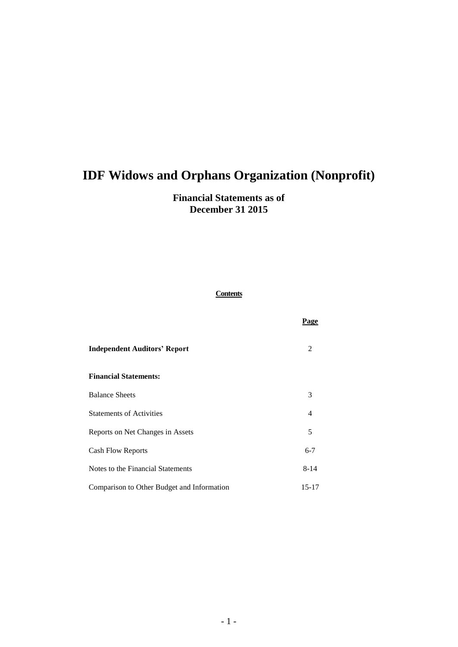## **Financial Statements as of December 31 2015**

### **Contents**

|                                            | Page                        |
|--------------------------------------------|-----------------------------|
| <b>Independent Auditors' Report</b>        | $\mathcal{D}_{\mathcal{L}}$ |
| <b>Financial Statements:</b>               |                             |
| <b>Balance Sheets</b>                      | 3                           |
| <b>Statements of Activities</b>            | $\overline{\mathcal{A}}$    |
| Reports on Net Changes in Assets           | 5                           |
| Cash Flow Reports                          | $6 - 7$                     |
| Notes to the Financial Statements          | $8 - 14$                    |
| Comparison to Other Budget and Information | 15-17                       |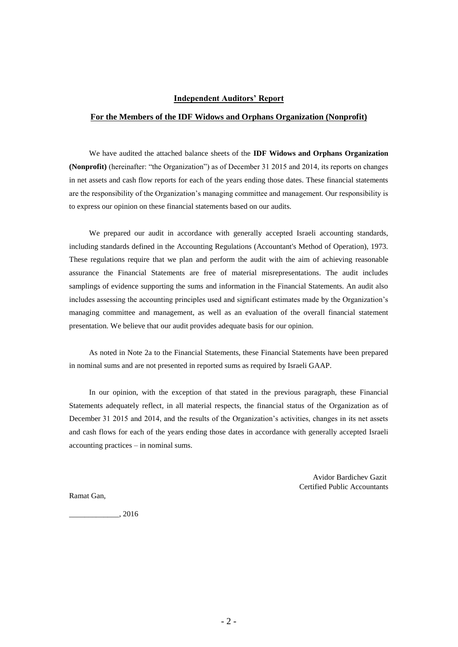#### **Independent Auditors' Report**

#### **For the Members of the IDF Widows and Orphans Organization (Nonprofit)**

We have audited the attached balance sheets of the **IDF Widows and Orphans Organization (Nonprofit)** (hereinafter: "the Organization") as of December 31 2015 and 2014, its reports on changes in net assets and cash flow reports for each of the years ending those dates. These financial statements are the responsibility of the Organization's managing committee and management. Our responsibility is to express our opinion on these financial statements based on our audits.

We prepared our audit in accordance with generally accepted Israeli accounting standards, including standards defined in the Accounting Regulations (Accountant's Method of Operation), 1973. These regulations require that we plan and perform the audit with the aim of achieving reasonable assurance the Financial Statements are free of material misrepresentations. The audit includes samplings of evidence supporting the sums and information in the Financial Statements. An audit also includes assessing the accounting principles used and significant estimates made by the Organization's managing committee and management, as well as an evaluation of the overall financial statement presentation. We believe that our audit provides adequate basis for our opinion.

As noted in Note 2a to the Financial Statements, these Financial Statements have been prepared in nominal sums and are not presented in reported sums as required by Israeli GAAP.

In our opinion, with the exception of that stated in the previous paragraph, these Financial Statements adequately reflect, in all material respects, the financial status of the Organization as of December 31 2015 and 2014, and the results of the Organization's activities, changes in its net assets and cash flows for each of the years ending those dates in accordance with generally accepted Israeli accounting practices – in nominal sums.

> Avidor Bardichev Gazit Certified Public Accountants

Ramat Gan,

 $\frac{1}{2016}$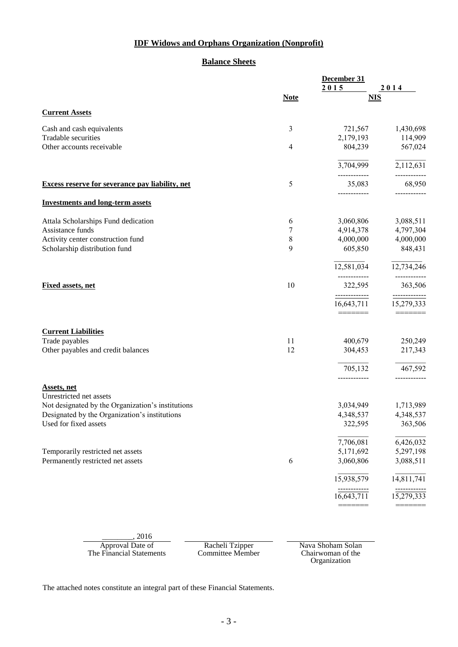### **Balance Sheets**

| 2015<br><b>Note</b><br>$\mathfrak{Z}$<br>721,567<br>2,179,193<br>4<br>804,239<br>3,704,999<br>5<br>35,083<br>3,060,806<br>6<br>7<br>4,914,378<br>8<br>4,000,000<br>9<br>605,850<br>12,581,034<br>-------<br>10<br>322,595<br>------------- | 2014<br><b>NIS</b><br>1,430,698<br>114,909<br>567,024<br>2,112,631<br>68,950<br>3,088,511<br>4,797,304<br>4,000,000<br>848,431<br>12,734,246<br>---------<br>363,506                              |
|--------------------------------------------------------------------------------------------------------------------------------------------------------------------------------------------------------------------------------------------|---------------------------------------------------------------------------------------------------------------------------------------------------------------------------------------------------|
|                                                                                                                                                                                                                                            |                                                                                                                                                                                                   |
|                                                                                                                                                                                                                                            |                                                                                                                                                                                                   |
|                                                                                                                                                                                                                                            |                                                                                                                                                                                                   |
|                                                                                                                                                                                                                                            |                                                                                                                                                                                                   |
|                                                                                                                                                                                                                                            |                                                                                                                                                                                                   |
|                                                                                                                                                                                                                                            |                                                                                                                                                                                                   |
|                                                                                                                                                                                                                                            |                                                                                                                                                                                                   |
|                                                                                                                                                                                                                                            |                                                                                                                                                                                                   |
|                                                                                                                                                                                                                                            |                                                                                                                                                                                                   |
|                                                                                                                                                                                                                                            |                                                                                                                                                                                                   |
|                                                                                                                                                                                                                                            |                                                                                                                                                                                                   |
|                                                                                                                                                                                                                                            |                                                                                                                                                                                                   |
|                                                                                                                                                                                                                                            |                                                                                                                                                                                                   |
|                                                                                                                                                                                                                                            |                                                                                                                                                                                                   |
|                                                                                                                                                                                                                                            |                                                                                                                                                                                                   |
| 16,643,711                                                                                                                                                                                                                                 | -------------<br>15,279,333                                                                                                                                                                       |
|                                                                                                                                                                                                                                            | 250,249                                                                                                                                                                                           |
|                                                                                                                                                                                                                                            | 217,343                                                                                                                                                                                           |
|                                                                                                                                                                                                                                            | 467,592                                                                                                                                                                                           |
|                                                                                                                                                                                                                                            | ____________                                                                                                                                                                                      |
|                                                                                                                                                                                                                                            | 1,713,989                                                                                                                                                                                         |
|                                                                                                                                                                                                                                            | 4,348,537                                                                                                                                                                                         |
|                                                                                                                                                                                                                                            | 363,506                                                                                                                                                                                           |
|                                                                                                                                                                                                                                            | 6,426,032                                                                                                                                                                                         |
|                                                                                                                                                                                                                                            | 5,297,198                                                                                                                                                                                         |
|                                                                                                                                                                                                                                            | 3,088,511                                                                                                                                                                                         |
|                                                                                                                                                                                                                                            | 14,811,741                                                                                                                                                                                        |
|                                                                                                                                                                                                                                            | 15,279,333                                                                                                                                                                                        |
|                                                                                                                                                                                                                                            | =======<br>11<br>400,679<br>12<br>304,453<br>705,132<br>____________<br>3,034,949<br>4,348,537<br>322,595<br>7,706,081<br>5,171,692<br>6<br>3,060,806<br>15,938,579<br>------------<br>16,643,711 |

| 2010                     |                  |                   |
|--------------------------|------------------|-------------------|
| Approval Date of         | Racheli Tzipper  | Nava Shoham Solan |
| The Financial Statements | Committee Member | Chairwoman of the |
|                          |                  | Organization      |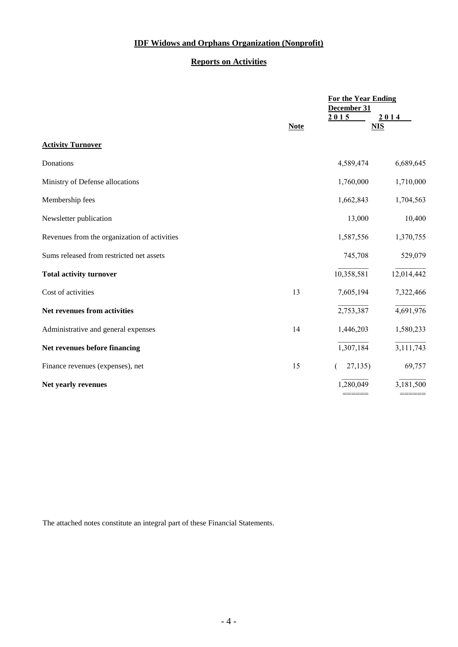### **Reports on Activities**

|                                              | <b>For the Year Ending</b> |                    |            |  |
|----------------------------------------------|----------------------------|--------------------|------------|--|
|                                              |                            | December 31        |            |  |
|                                              | <b>Note</b>                | 2015<br><b>NIS</b> | 2014       |  |
| <b>Activity Turnover</b>                     |                            |                    |            |  |
| Donations                                    |                            | 4,589,474          | 6,689,645  |  |
| Ministry of Defense allocations              |                            | 1,760,000          | 1,710,000  |  |
| Membership fees                              |                            | 1,662,843          | 1,704,563  |  |
| Newsletter publication                       |                            | 13,000             | 10,400     |  |
| Revenues from the organization of activities |                            | 1,587,556          | 1,370,755  |  |
| Sums released from restricted net assets     |                            | 745,708            | 529,079    |  |
| <b>Total activity turnover</b>               |                            | 10,358,581         | 12,014,442 |  |
| Cost of activities                           | 13                         | 7,605,194          | 7,322,466  |  |
| Net revenues from activities                 |                            | 2,753,387          | 4,691,976  |  |
| Administrative and general expenses          | 14                         | 1,446,203          | 1,580,233  |  |
| Net revenues before financing                |                            | 1,307,184          | 3,111,743  |  |
| Finance revenues (expenses), net             | 15                         | 27,135             | 69,757     |  |
| Net yearly revenues                          |                            | 1,280,049          | 3,181,500  |  |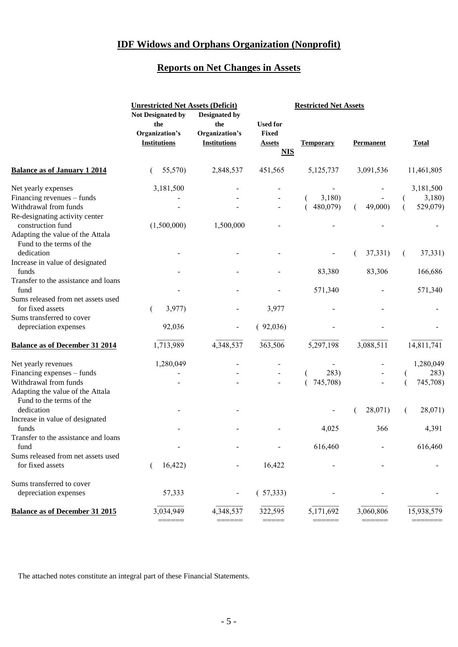# **Reports on Net Changes in Assets**

|                                                              | <b>Unrestricted Net Assets (Deficit)</b><br>Not Designated by<br>the | Designated by<br>the                  | <b>Used for</b>                             | <b>Restricted Net Assets</b> |                  |              |
|--------------------------------------------------------------|----------------------------------------------------------------------|---------------------------------------|---------------------------------------------|------------------------------|------------------|--------------|
|                                                              | Organization's<br><b>Institutions</b>                                | Organization's<br><b>Institutions</b> | <b>Fixed</b><br><b>Assets</b><br><b>NIS</b> | <b>Temporary</b>             | <b>Permanent</b> | <b>Total</b> |
| <b>Balance as of January 1 2014</b>                          | 55,570)                                                              | 2,848,537                             | 451,565                                     | 5,125,737                    | 3,091,536        | 11,461,805   |
| Net yearly expenses                                          | 3,181,500                                                            |                                       |                                             |                              |                  | 3,181,500    |
| Financing revenues – funds                                   |                                                                      |                                       |                                             | 3,180)                       |                  | 3,180        |
| Withdrawal from funds                                        |                                                                      |                                       |                                             | 480,079)                     | 49,000)          | 529,079)     |
| Re-designating activity center<br>construction fund          | (1,500,000)                                                          | 1,500,000                             |                                             |                              |                  |              |
| Adapting the value of the Attala<br>Fund to the terms of the |                                                                      |                                       |                                             |                              |                  |              |
| dedication                                                   |                                                                      |                                       |                                             |                              | 37,331)          | 37,331)      |
| Increase in value of designated                              |                                                                      |                                       |                                             |                              |                  |              |
| funds                                                        |                                                                      |                                       |                                             | 83,380                       | 83,306           | 166,686      |
| Transfer to the assistance and loans<br>fund                 |                                                                      |                                       |                                             | 571,340                      |                  | 571,340      |
| Sums released from net assets used                           |                                                                      |                                       |                                             |                              |                  |              |
| for fixed assets                                             | 3,977)                                                               |                                       | 3,977                                       |                              |                  |              |
| Sums transferred to cover                                    |                                                                      |                                       |                                             |                              |                  |              |
| depreciation expenses                                        | 92,036                                                               |                                       | (92,036)                                    |                              |                  |              |
| <b>Balance as of December 31 2014</b>                        | 1,713,989                                                            | 4,348,537                             | 363,506                                     | 5,297,198                    | 3,088,511        | 14,811,741   |
| Net yearly revenues                                          | 1,280,049                                                            |                                       |                                             |                              |                  | 1,280,049    |
| Financing expenses - funds                                   |                                                                      |                                       |                                             | 283)                         |                  | 283)         |
| Withdrawal from funds                                        |                                                                      |                                       |                                             | 745,708)                     |                  | 745,708)     |
| Adapting the value of the Attala<br>Fund to the terms of the |                                                                      |                                       |                                             |                              |                  |              |
| dedication                                                   |                                                                      |                                       |                                             |                              | 28,071)          | 28,071)      |
| Increase in value of designated                              |                                                                      |                                       |                                             |                              |                  |              |
| funds                                                        |                                                                      |                                       |                                             | 4,025                        | 366              | 4,391        |
| Transfer to the assistance and loans<br>fund                 |                                                                      |                                       |                                             | 616,460                      |                  | 616,460      |
| Sums released from net assets used                           |                                                                      |                                       |                                             |                              |                  |              |
| for fixed assets                                             | 16,422)                                                              |                                       | 16,422                                      |                              |                  |              |
| Sums transferred to cover                                    |                                                                      |                                       |                                             |                              |                  |              |
| depreciation expenses                                        | 57,333                                                               |                                       | (57,333)                                    |                              |                  |              |
| <b>Balance as of December 31 2015</b>                        | 3,034,949                                                            | 4,348,537                             | 322,595                                     | 5,171,692                    | 3,060,806        | 15,938,579   |
|                                                              |                                                                      |                                       |                                             |                              |                  |              |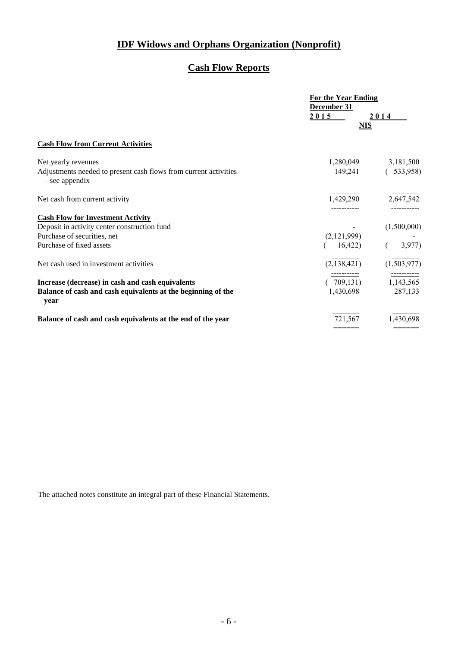# **Cash Flow Reports**

|                                                                                      | <b>For the Year Ending</b> |                     |  |
|--------------------------------------------------------------------------------------|----------------------------|---------------------|--|
|                                                                                      | December 31                |                     |  |
|                                                                                      | 2015                       | 2014                |  |
|                                                                                      | <b>NIS</b>                 |                     |  |
| <b>Cash Flow from Current Activities</b>                                             |                            |                     |  |
| Net yearly revenues                                                                  |                            | 1,280,049 3,181,500 |  |
| Adjustments needed to present cash flows from current activities<br>$-$ see appendix | 149,241                    | (533,958)           |  |
| Net cash from current activity                                                       | 1,429,290                  | 2,647,542           |  |
| <b>Cash Flow for Investment Activity</b>                                             |                            |                     |  |
| Deposit in activity center construction fund                                         |                            | (1,500,000)         |  |
| Purchase of securities, net                                                          | (2,121,999)                |                     |  |
| Purchase of fixed assets                                                             | 16,422)                    | 3,977               |  |
| Net cash used in investment activities                                               | (2,138,421)                | (1,503,977)         |  |
| Increase (decrease) in cash and cash equivalents                                     | 709,131)                   | 1,143,565           |  |
| Balance of cash and cash equivalents at the beginning of the<br>year                 | 1,430,698                  | 287,133             |  |
| Balance of cash and cash equivalents at the end of the year                          | 721,567                    | 1,430,698           |  |
|                                                                                      |                            |                     |  |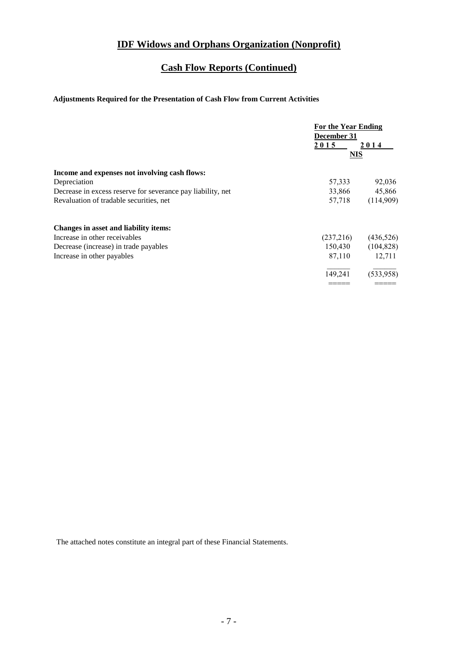# **Cash Flow Reports (Continued)**

### **Adjustments Required for the Presentation of Cash Flow from Current Activities**

|                                                             | For the Year Ending<br>December 31<br>2015 | 2014       |
|-------------------------------------------------------------|--------------------------------------------|------------|
|                                                             | <b>NIS</b>                                 |            |
| Income and expenses not involving cash flows:               |                                            |            |
| Depreciation                                                | 57,333                                     | 92,036     |
| Decrease in excess reserve for severance pay liability, net | 33,866                                     | 45,866     |
| Revaluation of tradable securities, net                     | 57,718                                     | (114,909)  |
| Changes in asset and liability items:                       |                                            |            |
| Increase in other receivables                               | (237,216)                                  | (436, 526) |
| Decrease (increase) in trade payables                       | 150,430                                    | (104, 828) |
| Increase in other payables                                  | 87,110                                     | 12,711     |
|                                                             | 149,241                                    | (533,958)  |
|                                                             |                                            |            |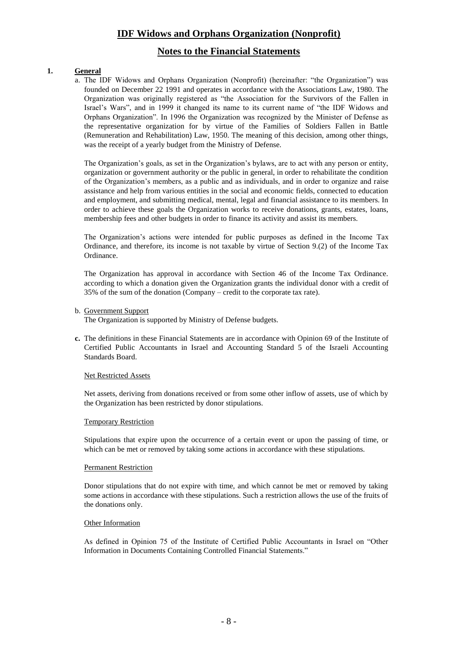### **Notes to the Financial Statements**

#### **1. General**

a. The IDF Widows and Orphans Organization (Nonprofit) (hereinafter: "the Organization") was founded on December 22 1991 and operates in accordance with the Associations Law, 1980. The Organization was originally registered as "the Association for the Survivors of the Fallen in Israel's Wars", and in 1999 it changed its name to its current name of "the IDF Widows and Orphans Organization". In 1996 the Organization was recognized by the Minister of Defense as the representative organization for by virtue of the Families of Soldiers Fallen in Battle (Remuneration and Rehabilitation) Law, 1950. The meaning of this decision, among other things, was the receipt of a yearly budget from the Ministry of Defense.

The Organization's goals, as set in the Organization's bylaws, are to act with any person or entity, organization or government authority or the public in general, in order to rehabilitate the condition of the Organization's members, as a public and as individuals, and in order to organize and raise assistance and help from various entities in the social and economic fields, connected to education and employment, and submitting medical, mental, legal and financial assistance to its members. In order to achieve these goals the Organization works to receive donations, grants, estates, loans, membership fees and other budgets in order to finance its activity and assist its members.

The Organization's actions were intended for public purposes as defined in the Income Tax Ordinance, and therefore, its income is not taxable by virtue of Section 9.(2) of the Income Tax Ordinance.

The Organization has approval in accordance with Section 46 of the Income Tax Ordinance. according to which a donation given the Organization grants the individual donor with a credit of 35% of the sum of the donation (Company – credit to the corporate tax rate).

b. Government Support

The Organization is supported by Ministry of Defense budgets.

**c.** The definitions in these Financial Statements are in accordance with Opinion 69 of the Institute of Certified Public Accountants in Israel and Accounting Standard 5 of the Israeli Accounting Standards Board.

#### Net Restricted Assets

Net assets, deriving from donations received or from some other inflow of assets, use of which by the Organization has been restricted by donor stipulations.

#### Temporary Restriction

Stipulations that expire upon the occurrence of a certain event or upon the passing of time, or which can be met or removed by taking some actions in accordance with these stipulations.

#### Permanent Restriction

Donor stipulations that do not expire with time, and which cannot be met or removed by taking some actions in accordance with these stipulations. Such a restriction allows the use of the fruits of the donations only.

#### Other Information

As defined in Opinion 75 of the Institute of Certified Public Accountants in Israel on "Other Information in Documents Containing Controlled Financial Statements."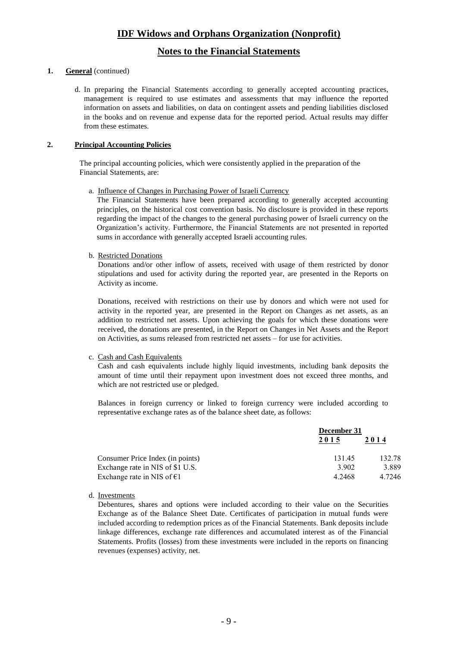### **Notes to the Financial Statements**

#### **1. General** (continued)

d. In preparing the Financial Statements according to generally accepted accounting practices, management is required to use estimates and assessments that may influence the reported information on assets and liabilities, on data on contingent assets and pending liabilities disclosed in the books and on revenue and expense data for the reported period. Actual results may differ from these estimates.

#### **2. Principal Accounting Policies**

The principal accounting policies, which were consistently applied in the preparation of the Financial Statements, are:

a. Influence of Changes in Purchasing Power of Israeli Currency

The Financial Statements have been prepared according to generally accepted accounting principles, on the historical cost convention basis. No disclosure is provided in these reports regarding the impact of the changes to the general purchasing power of Israeli currency on the Organization's activity. Furthermore, the Financial Statements are not presented in reported sums in accordance with generally accepted Israeli accounting rules.

b. Restricted Donations

Donations and/or other inflow of assets, received with usage of them restricted by donor stipulations and used for activity during the reported year, are presented in the Reports on Activity as income.

Donations, received with restrictions on their use by donors and which were not used for activity in the reported year, are presented in the Report on Changes as net assets, as an addition to restricted net assets. Upon achieving the goals for which these donations were received, the donations are presented, in the Report on Changes in Net Assets and the Report on Activities, as sums released from restricted net assets – for use for activities.

#### c. Cash and Cash Equivalents

Cash and cash equivalents include highly liquid investments, including bank deposits the amount of time until their repayment upon investment does not exceed three months, and which are not restricted use or pledged.

Balances in foreign currency or linked to foreign currency were included according to representative exchange rates as of the balance sheet date, as follows:

|                                      | December 31 |        |  |
|--------------------------------------|-------------|--------|--|
|                                      | 2015        | 2014   |  |
| Consumer Price Index (in points)     | 131.45      | 132.78 |  |
| Exchange rate in NIS of \$1 U.S.     | 3 902       | 3.889  |  |
| Exchange rate in NIS of $\epsilon$ 1 | 4.2468      | 4.7246 |  |

d. Investments

Debentures, shares and options were included according to their value on the Securities Exchange as of the Balance Sheet Date. Certificates of participation in mutual funds were included according to redemption prices as of the Financial Statements. Bank deposits include linkage differences, exchange rate differences and accumulated interest as of the Financial Statements. Profits (losses) from these investments were included in the reports on financing revenues (expenses) activity, net.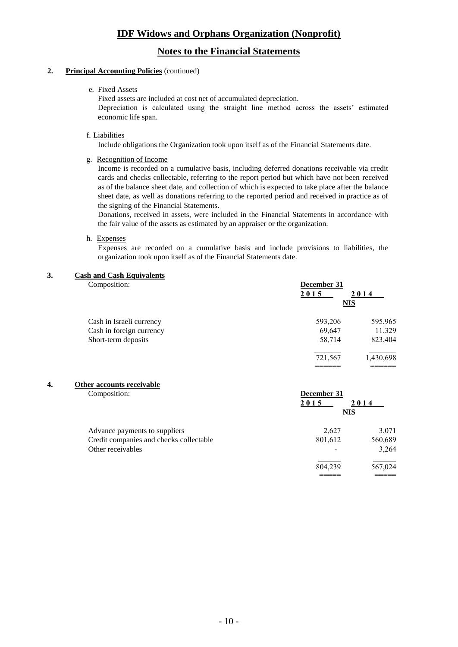### **Notes to the Financial Statements**

#### **2. Principal Accounting Policies** (continued)

#### e. Fixed Assets

Fixed assets are included at cost net of accumulated depreciation. Depreciation is calculated using the straight line method across the assets' estimated economic life span.

#### f. Liabilities

Include obligations the Organization took upon itself as of the Financial Statements date.

#### g. Recognition of Income

Income is recorded on a cumulative basis, including deferred donations receivable via credit cards and checks collectable, referring to the report period but which have not been received as of the balance sheet date, and collection of which is expected to take place after the balance sheet date, as well as donations referring to the reported period and received in practice as of the signing of the Financial Statements.

Donations, received in assets, were included in the Financial Statements in accordance with the fair value of the assets as estimated by an appraiser or the organization.

#### h. Expenses

Expenses are recorded on a cumulative basis and include provisions to liabilities, the organization took upon itself as of the Financial Statements date.

#### **3. Cash and Cash Equivalents**

| Composition:             | December 31<br>2015<br>2014<br><b>NIS</b> |           |
|--------------------------|-------------------------------------------|-----------|
| Cash in Israeli currency | 593,206                                   | 595,965   |
| Cash in foreign currency | 69,647                                    | 11,329    |
| Short-term deposits      | 58,714                                    | 823,404   |
|                          | 721,567                                   | 1,430,698 |
|                          |                                           |           |

#### **4. Other accounts receivable**

| Composition:                            | December 31 |         |
|-----------------------------------------|-------------|---------|
|                                         | 2015        | 2014    |
|                                         | <b>NIS</b>  |         |
| Advance payments to suppliers           | 2,627       | 3,071   |
| Credit companies and checks collectable | 801,612     | 560,689 |
| Other receivables                       |             | 3,264   |
|                                         | 804,239     | 567,024 |
|                                         |             |         |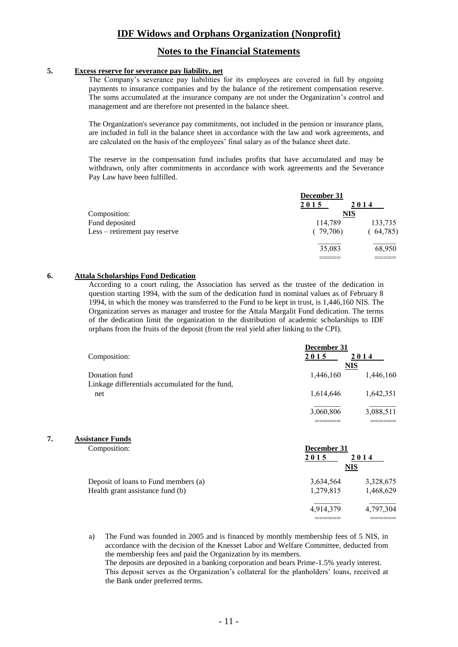### **Notes to the Financial Statements**

#### **5. Excess reserve for severance pay liability, net**

The Company's severance pay liabilities for its employees are covered in full by ongoing payments to insurance companies and by the balance of the retirement compensation reserve. The sums accumulated at the insurance company are not under the Organization's control and management and are therefore not presented in the balance sheet.

The Organization's severance pay commitments, not included in the pension or insurance plans, are included in full in the balance sheet in accordance with the law and work agreements, and are calculated on the basis of the employees' final salary as of the balance sheet date.

The reserve in the compensation fund includes profits that have accumulated and may be withdrawn, only after commitments in accordance with work agreements and the Severance Pay Law have been fulfilled.

|                               | December 31<br>2015 | 2014     |
|-------------------------------|---------------------|----------|
| Composition:                  | <b>NIS</b>          |          |
| Fund deposited                | 114,789             | 133,735  |
| Less – retirement pay reserve | (79,706)            | (64,785) |
|                               | 35,083              | 68,950   |
|                               |                     |          |

#### **6. Attala Scholarships Fund Dedication**

According to a court ruling, the Association has served as the trustee of the dedication in question starting 1994, with the sum of the dedication fund in nominal values as of February 8 1994, in which the money was transferred to the Fund to be kept in trust, is 1,446,160 NIS. The Organization serves as manager and trustee for the Attala Margalit Fund dedication. The terms of the dedication limit the organization to the distribution of academic scholarships to IDF orphans from the fruits of the deposit (from the real yield after linking to the CPI).

| Composition:                                                     | December 31<br>2015<br><b>NIS</b> | 2014      |
|------------------------------------------------------------------|-----------------------------------|-----------|
| Donation fund<br>Linkage differentials accumulated for the fund, | 1,446,160                         | 1,446,160 |
| net                                                              | 1,614,646                         | 1,642,351 |
|                                                                  | 3,060,806                         | 3,088,511 |

**7. Assi** 

| stance Funds<br>Composition:         | December 31<br>2015<br>2014<br><b>NIS</b> |           |  |
|--------------------------------------|-------------------------------------------|-----------|--|
| Deposit of loans to Fund members (a) | 3,634,564                                 | 3,328,675 |  |
| Health grant assistance fund (b)     | 1,279,815                                 | 1,468,629 |  |
|                                      | 4,914,379                                 | 4,797,304 |  |
|                                      |                                           |           |  |

a) The Fund was founded in 2005 and is financed by monthly membership fees of 5 NIS, in accordance with the decision of the Knesset Labor and Welfare Committee, deducted from the membership fees and paid the Organization by its members.

The deposits are deposited in a banking corporation and bears Prime-1.5% yearly interest. This deposit serves as the Organization's collateral for the planholders' loans, received at the Bank under preferred terms.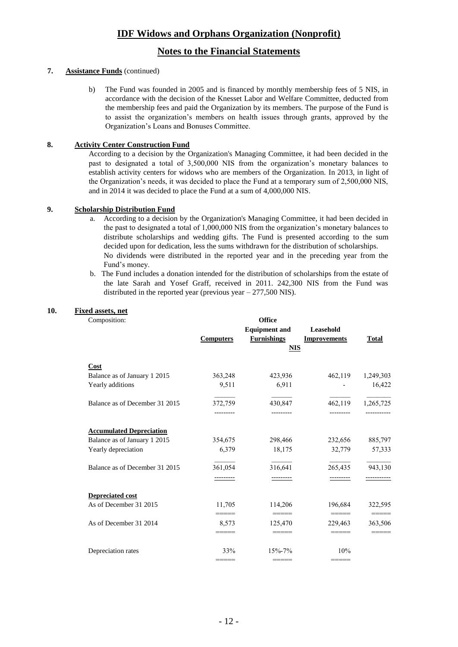### **Notes to the Financial Statements**

#### **7. Assistance Funds** (continued)

b) The Fund was founded in 2005 and is financed by monthly membership fees of 5 NIS, in accordance with the decision of the Knesset Labor and Welfare Committee, deducted from the membership fees and paid the Organization by its members. The purpose of the Fund is to assist the organization's members on health issues through grants, approved by the Organization's Loans and Bonuses Committee.

#### **8. Activity Center Construction Fund**

According to a decision by the Organization's Managing Committee, it had been decided in the past to designated a total of 3,500,000 NIS from the organization's monetary balances to establish activity centers for widows who are members of the Organization. In 2013, in light of the Organization's needs, it was decided to place the Fund at a temporary sum of 2,500,000 NIS, and in 2014 it was decided to place the Fund at a sum of 4,000,000 NIS.

#### **9. Scholarship Distribution Fund**

- a. According to a decision by the Organization's Managing Committee, it had been decided in the past to designated a total of 1,000,000 NIS from the organization's monetary balances to distribute scholarships and wedding gifts. The Fund is presented according to the sum decided upon for dedication, less the sums withdrawn for the distribution of scholarships. No dividends were distributed in the reported year and in the preceding year from the Fund's money.
- b. The Fund includes a donation intended for the distribution of scholarships from the estate of the late Sarah and Yosef Graff, received in 2011. 242,300 NIS from the Fund was distributed in the reported year (previous year – 277,500 NIS).

**Office** 

#### **10. Fixed assets, net**

|--|

|                                 | <b>Computers</b> | <b>Equipment and</b><br><b>Furnishings</b><br><b>NIS</b>         | Leasehold<br><b>Improvements</b>                                                                                                                                                                                                                                                                                                                                                                                                                                                                                                                                                              | <b>Total</b> |
|---------------------------------|------------------|------------------------------------------------------------------|-----------------------------------------------------------------------------------------------------------------------------------------------------------------------------------------------------------------------------------------------------------------------------------------------------------------------------------------------------------------------------------------------------------------------------------------------------------------------------------------------------------------------------------------------------------------------------------------------|--------------|
| Cost                            |                  |                                                                  |                                                                                                                                                                                                                                                                                                                                                                                                                                                                                                                                                                                               |              |
| Balance as of January 1 2015    | 363,248          | 423,936                                                          | 462,119                                                                                                                                                                                                                                                                                                                                                                                                                                                                                                                                                                                       | 1,249,303    |
| Yearly additions                | 9,511            | 6,911                                                            |                                                                                                                                                                                                                                                                                                                                                                                                                                                                                                                                                                                               | 16,422       |
| Balance as of December 31 2015  | 372,759          | 430,847                                                          | 462,119                                                                                                                                                                                                                                                                                                                                                                                                                                                                                                                                                                                       | 1,265,725    |
|                                 | ---------        |                                                                  |                                                                                                                                                                                                                                                                                                                                                                                                                                                                                                                                                                                               |              |
| <b>Accumulated Depreciation</b> |                  |                                                                  |                                                                                                                                                                                                                                                                                                                                                                                                                                                                                                                                                                                               |              |
| Balance as of January 1 2015    | 354,675          | 298,466                                                          | 232,656                                                                                                                                                                                                                                                                                                                                                                                                                                                                                                                                                                                       | 885,797      |
| Yearly depreciation             | 6,379            | 18,175                                                           | 32,779                                                                                                                                                                                                                                                                                                                                                                                                                                                                                                                                                                                        | 57,333       |
| Balance as of December 31 2015  | 361,054          | 316,641                                                          | 265,435                                                                                                                                                                                                                                                                                                                                                                                                                                                                                                                                                                                       | 943,130      |
|                                 |                  |                                                                  |                                                                                                                                                                                                                                                                                                                                                                                                                                                                                                                                                                                               |              |
| Depreciated cost                |                  |                                                                  |                                                                                                                                                                                                                                                                                                                                                                                                                                                                                                                                                                                               |              |
| As of December 31 2015          | 11,705           | 114,206                                                          | 196,684                                                                                                                                                                                                                                                                                                                                                                                                                                                                                                                                                                                       | 322,595      |
|                                 | =====            | $=$ $=$ $=$ $=$ $=$                                              | $\qquad \qquad \overline{\qquad \qquad }=\overline{\qquad \qquad }=\overline{\qquad \qquad }=\overline{\qquad \qquad }=\overline{\qquad \qquad }=\overline{\qquad \qquad }=\overline{\qquad \qquad }=\overline{\qquad \qquad }=\overline{\qquad \qquad }=\overline{\qquad \qquad }=\overline{\qquad \qquad }=\overline{\qquad \qquad }=\overline{\qquad \qquad }=\overline{\qquad \qquad }=\overline{\qquad \qquad }=\overline{\qquad \qquad }=\overline{\qquad \qquad }=\overline{\qquad \qquad }=\overline{\qquad \qquad }=\overline{\qquad \qquad }=\overline{\qquad \qquad }=\overline{\$ | =====        |
| As of December 31 2014          | 8,573            | 125,470                                                          | 229,463                                                                                                                                                                                                                                                                                                                                                                                                                                                                                                                                                                                       | 363,506      |
|                                 | =====            | $\qquad \qquad \doteq \qquad \qquad \doteq \qquad \qquad \doteq$ | =====                                                                                                                                                                                                                                                                                                                                                                                                                                                                                                                                                                                         | =====        |
| Depreciation rates              | 33%              | 15%-7%                                                           | 10%                                                                                                                                                                                                                                                                                                                                                                                                                                                                                                                                                                                           |              |
|                                 | =====            |                                                                  | =====                                                                                                                                                                                                                                                                                                                                                                                                                                                                                                                                                                                         |              |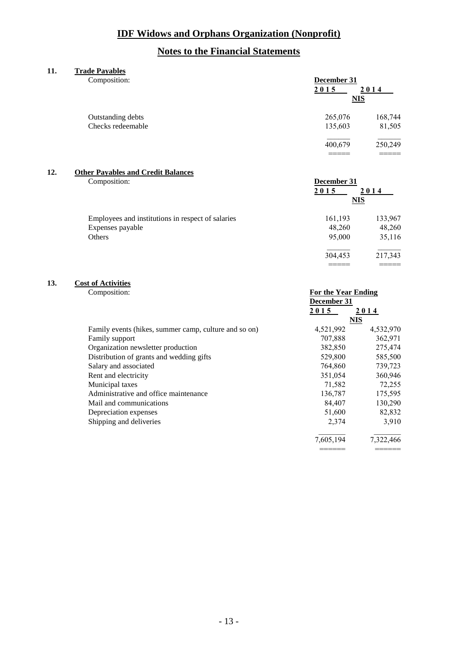## **Notes to the Financial Statements**

#### **11. Trade Payables**

| Composition:                                      | December 31<br>2015                       | 2014              |
|---------------------------------------------------|-------------------------------------------|-------------------|
|                                                   |                                           |                   |
| Outstanding debts                                 | 265,076                                   | 168,744           |
| Checks redeemable                                 | 135,603                                   | 81,505            |
|                                                   | 400,679                                   | 250,249           |
|                                                   |                                           |                   |
|                                                   |                                           |                   |
| Composition:                                      | December 31                               |                   |
|                                                   | 2015                                      | 2014              |
|                                                   |                                           |                   |
| Employees and institutions in respect of salaries | 161,193                                   | 133,967           |
| Expenses payable                                  | 48,260                                    | 48,260            |
| Others                                            | 95,000                                    | 35,116            |
|                                                   | 304,453                                   | 217,343           |
|                                                   |                                           |                   |
|                                                   | <b>Other Payables and Credit Balances</b> | MIS<br><b>NIS</b> |

# **13. Cost of Activities**<br>Composition:

| Composition:                                          | <b>For the Year Ending</b> |            |
|-------------------------------------------------------|----------------------------|------------|
|                                                       | December 31                |            |
|                                                       | 2015                       | 2014       |
|                                                       |                            | <b>NIS</b> |
| Family events (hikes, summer camp, culture and so on) | 4,521,992                  | 4,532,970  |
| Family support                                        | 707,888                    | 362,971    |
| Organization newsletter production                    | 382,850                    | 275,474    |
| Distribution of grants and wedding gifts              | 529,800                    | 585,500    |
| Salary and associated                                 | 764,860                    | 739,723    |
| Rent and electricity                                  | 351,054                    | 360,946    |
| Municipal taxes                                       | 71,582                     | 72,255     |
| Administrative and office maintenance                 | 136,787                    | 175,595    |
| Mail and communications                               | 84,407                     | 130,290    |
| Depreciation expenses                                 | 51,600                     | 82,832     |
| Shipping and deliveries                               | 2,374                      | 3,910      |
|                                                       | 7,605,194                  | 7,322,466  |

====== ======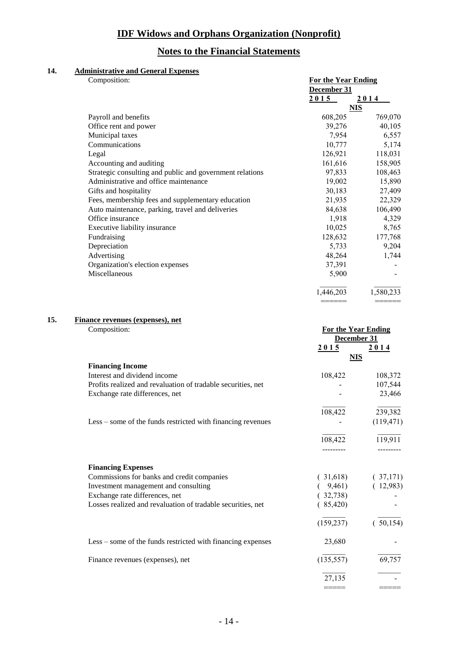## **Notes to the Financial Statements**

### **14. Administrative and General Expenses**

| Composition:                                             | <b>For the Year Ending</b><br>December 31 |            |
|----------------------------------------------------------|-------------------------------------------|------------|
|                                                          | 2015                                      | 2014       |
|                                                          |                                           | <b>NIS</b> |
| Payroll and benefits                                     | 608,205                                   | 769,070    |
| Office rent and power                                    | 39,276                                    | 40,105     |
| Municipal taxes                                          | 7,954                                     | 6,557      |
| Communications                                           | 10,777                                    | 5,174      |
| Legal                                                    | 126,921                                   | 118,031    |
| Accounting and auditing                                  | 161,616                                   | 158,905    |
| Strategic consulting and public and government relations | 97,833                                    | 108,463    |
| Administrative and office maintenance                    | 19,002                                    | 15,890     |
| Gifts and hospitality                                    | 30,183                                    | 27,409     |
| Fees, membership fees and supplementary education        | 21,935                                    | 22,329     |
| Auto maintenance, parking, travel and deliveries         | 84,638                                    | 106,490    |
| Office insurance                                         | 1,918                                     | 4,329      |
| Executive liability insurance                            | 10,025                                    | 8,765      |
| Fundraising                                              | 128,632                                   | 177,768    |
| Depreciation                                             | 5,733                                     | 9,204      |
| Advertising                                              | 48,264                                    | 1,744      |
| Organization's election expenses                         | 37,391                                    |            |
| Miscellaneous                                            | 5,900                                     |            |
|                                                          | 1,446,203                                 | 1,580,233  |
|                                                          |                                           |            |

### **15. Finance revenues (expenses), net**

| Composition: | <b>For the Year Ending</b> |
|--------------|----------------------------|
|              |                            |

|                                                              | December 31 |            |
|--------------------------------------------------------------|-------------|------------|
|                                                              | 2015        | 2014       |
|                                                              | <b>NIS</b>  |            |
| <b>Financing Income</b>                                      |             |            |
| Interest and dividend income                                 | 108,422     | 108,372    |
| Profits realized and revaluation of tradable securities, net |             | 107,544    |
| Exchange rate differences, net                               |             | 23,466     |
|                                                              | 108,422     | 239,382    |
| Less – some of the funds restricted with financing revenues  |             | (119, 471) |
|                                                              | 108,422     | 119,911    |
|                                                              |             |            |
| <b>Financing Expenses</b>                                    |             |            |
| Commissions for banks and credit companies                   | (31,618)    | (37,171)   |
| Investment management and consulting                         | 9,461)      | (12,983)   |
| Exchange rate differences, net                               | 32,738)     |            |
| Losses realized and revaluation of tradable securities, net  | (85,420)    |            |
|                                                              | (159, 237)  | 50,154)    |
| Less – some of the funds restricted with financing expenses  | 23,680      |            |
| Finance revenues (expenses), net                             | (135, 557)  | 69,757     |
|                                                              | 27,135      |            |
|                                                              |             |            |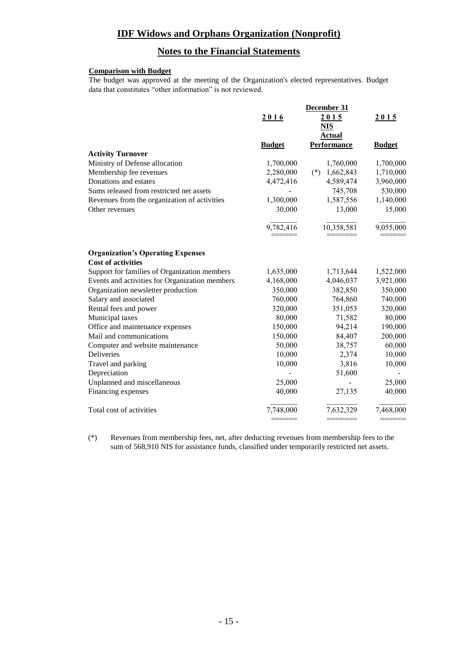## **Notes to the Financial Statements**

### **Comparison with Budget**

The budget was approved at the meeting of the Organization's elected representatives. Budget data that constitutes "other information" is not reviewed.

|                                                                       | December 31   |                    |               |
|-----------------------------------------------------------------------|---------------|--------------------|---------------|
|                                                                       | 2016          | 2015               | 2015          |
|                                                                       |               | <u>NIS</u>         |               |
|                                                                       |               | Actual             |               |
|                                                                       | <b>Budget</b> | Performance        | <b>Budget</b> |
| <b>Activity Turnover</b>                                              |               |                    |               |
| Ministry of Defense allocation                                        | 1,700,000     | 1,760,000          | 1,700,000     |
| Membership fee revenues                                               | 2,280,000     | 1,662,843<br>$(*)$ | 1,710,000     |
| Donations and estates                                                 | 4,472,416     | 4,589,474          | 3,960,000     |
| Sums released from restricted net assets                              |               | 745,708            | 530,000       |
| Revenues from the organization of activities                          | 1,300,000     | 1,587,556          | 1,140,000     |
| Other revenues                                                        | 30,000        | 13,000             | 15,000        |
|                                                                       | 9,782,416     | 10,358,581         | 9,055,000     |
| <b>Organization's Operating Expenses</b><br><b>Cost of activities</b> |               |                    |               |
| Support for families of Organization members                          | 1,635,000     | 1,713,644          | 1,522,000     |
| Events and activities for Organization members                        | 4,168,000     | 4,046,037          | 3,921,000     |
| Organization newsletter production                                    | 350,000       | 382,850            | 350,000       |
| Salary and associated                                                 | 760,000       | 764,860            | 740,000       |
| Rental fees and power                                                 | 320,000       | 351,053            | 320,000       |
| Municipal taxes                                                       | 80,000        | 71,582             | 80,000        |
| Office and maintenance expenses                                       | 150,000       | 94,214             | 190,000       |
| Mail and communications                                               | 150,000       | 84,407             | 200,000       |
| Computer and website maintenance                                      | 50,000        | 38,757             | 60,000        |
| Deliveries                                                            | 10,000        | 2,374              | 10,000        |
| Travel and parking                                                    | 10,000        | 3,816              | 10,000        |
| Depreciation                                                          |               | 51,600             |               |
| Unplanned and miscellaneous                                           | 25,000        |                    | 25,000        |
| Financing expenses                                                    | 40,000        | 27,135             | 40,000        |
| Total cost of activities                                              | 7,748,000     | 7,632,329          | 7,468,000     |
|                                                                       |               | =======            |               |

(\*) Revenues from membership fees, net, after deducting revenues from membership fees to the sum of 568,910 NIS for assistance funds, classified under temporarily restricted net assets.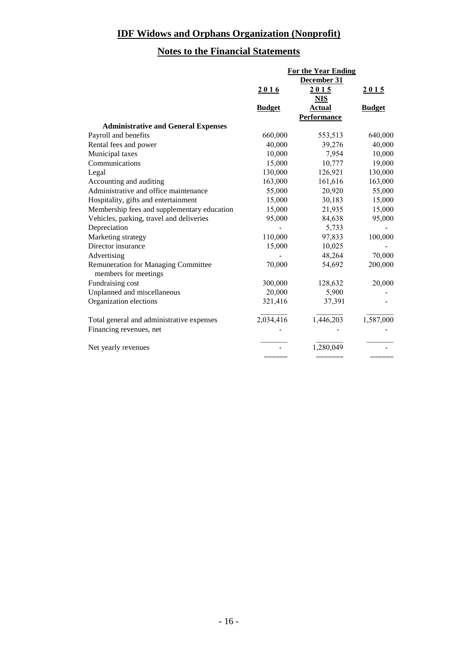# **Notes to the Financial Statements**

|                                             | <b>For the Year Ending</b> |                    |               |
|---------------------------------------------|----------------------------|--------------------|---------------|
|                                             | December 31                |                    |               |
|                                             | 2016                       | 2015               | 2015          |
|                                             |                            | <u>NIS</u>         |               |
|                                             | <b>Budget</b>              | <b>Actual</b>      | <b>Budget</b> |
|                                             |                            | <b>Performance</b> |               |
| <b>Administrative and General Expenses</b>  |                            |                    |               |
| Payroll and benefits                        | 660,000                    | 553,513            | 640,000       |
| Rental fees and power                       | 40,000                     | 39,276             | 40,000        |
| Municipal taxes                             | 10,000                     | 7,954              | 10,000        |
| Communications                              | 15,000                     | 10,777             | 19,000        |
| Legal                                       | 130,000                    | 126,921            | 130,000       |
| Accounting and auditing                     | 163,000                    | 161,616            | 163,000       |
| Administrative and office maintenance       | 55,000                     | 20,920             | 55,000        |
| Hospitality, gifts and entertainment        | 15,000                     | 30,183             | 15,000        |
| Membership fees and supplementary education | 15,000                     | 21,935             | 15,000        |
| Vehicles, parking, travel and deliveries    | 95,000                     | 84,638             | 95,000        |
| Depreciation                                |                            | 5,733              |               |
| Marketing strategy                          | 110,000                    | 97,833             | 100,000       |
| Director insurance                          | 15,000                     | 10,025             |               |
| Advertising                                 |                            | 48,264             | 70,000        |
| <b>Remuneration for Managing Committee</b>  | 70,000                     | 54,692             | 200,000       |
| members for meetings                        |                            |                    |               |
| Fundraising cost                            | 300,000                    | 128,632            | 20,000        |
| Unplanned and miscellaneous                 | 20,000                     | 5,900              |               |
| Organization elections                      | 321,416                    | 37,391             |               |
| Total general and administrative expenses   | 2,034,416                  | 1,446,203          | 1,587,000     |
| Financing revenues, net                     |                            |                    |               |
| Net yearly revenues                         |                            | 1,280,049          |               |
|                                             |                            |                    |               |